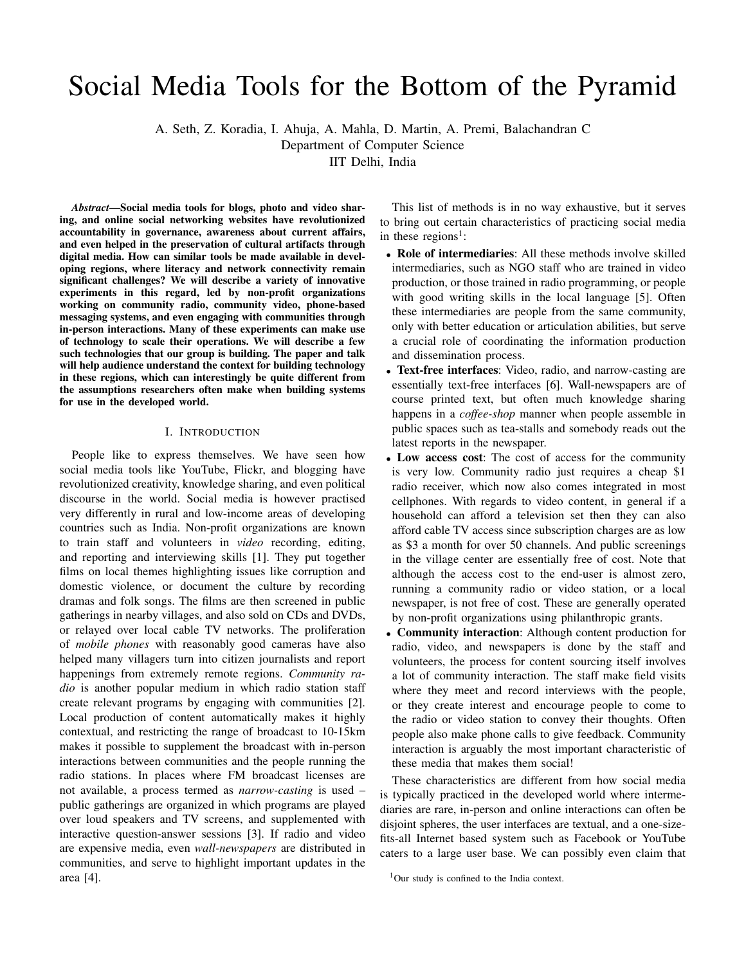# Social Media Tools for the Bottom of the Pyramid

A. Seth, Z. Koradia, I. Ahuja, A. Mahla, D. Martin, A. Premi, Balachandran C

Department of Computer Science

IIT Delhi, India

*Abstract*—Social media tools for blogs, photo and video sharing, and online social networking websites have revolutionized accountability in governance, awareness about current affairs, and even helped in the preservation of cultural artifacts through digital media. How can similar tools be made available in developing regions, where literacy and network connectivity remain significant challenges? We will describe a variety of innovative experiments in this regard, led by non-profit organizations working on community radio, community video, phone-based messaging systems, and even engaging with communities through in-person interactions. Many of these experiments can make use of technology to scale their operations. We will describe a few such technologies that our group is building. The paper and talk will help audience understand the context for building technology in these regions, which can interestingly be quite different from the assumptions researchers often make when building systems for use in the developed world.

### I. INTRODUCTION

People like to express themselves. We have seen how social media tools like YouTube, Flickr, and blogging have revolutionized creativity, knowledge sharing, and even political discourse in the world. Social media is however practised very differently in rural and low-income areas of developing countries such as India. Non-profit organizations are known to train staff and volunteers in *video* recording, editing, and reporting and interviewing skills [1]. They put together films on local themes highlighting issues like corruption and domestic violence, or document the culture by recording dramas and folk songs. The films are then screened in public gatherings in nearby villages, and also sold on CDs and DVDs, or relayed over local cable TV networks. The proliferation of *mobile phones* with reasonably good cameras have also helped many villagers turn into citizen journalists and report happenings from extremely remote regions. *Community radio* is another popular medium in which radio station staff create relevant programs by engaging with communities [2]. Local production of content automatically makes it highly contextual, and restricting the range of broadcast to 10-15km makes it possible to supplement the broadcast with in-person interactions between communities and the people running the radio stations. In places where FM broadcast licenses are not available, a process termed as *narrow-casting* is used – public gatherings are organized in which programs are played over loud speakers and TV screens, and supplemented with interactive question-answer sessions [3]. If radio and video are expensive media, even *wall-newspapers* are distributed in communities, and serve to highlight important updates in the area [4].

This list of methods is in no way exhaustive, but it serves to bring out certain characteristics of practicing social media in these regions<sup>1</sup>:

- Role of intermediaries: All these methods involve skilled intermediaries, such as NGO staff who are trained in video production, or those trained in radio programming, or people with good writing skills in the local language [5]. Often these intermediaries are people from the same community, only with better education or articulation abilities, but serve a crucial role of coordinating the information production and dissemination process.
- Text-free interfaces: Video, radio, and narrow-casting are essentially text-free interfaces [6]. Wall-newspapers are of course printed text, but often much knowledge sharing happens in a *coffee-shop* manner when people assemble in public spaces such as tea-stalls and somebody reads out the latest reports in the newspaper.
- Low access cost: The cost of access for the community is very low. Community radio just requires a cheap \$1 radio receiver, which now also comes integrated in most cellphones. With regards to video content, in general if a household can afford a television set then they can also afford cable TV access since subscription charges are as low as \$3 a month for over 50 channels. And public screenings in the village center are essentially free of cost. Note that although the access cost to the end-user is almost zero, running a community radio or video station, or a local newspaper, is not free of cost. These are generally operated by non-profit organizations using philanthropic grants.
- Community interaction: Although content production for radio, video, and newspapers is done by the staff and volunteers, the process for content sourcing itself involves a lot of community interaction. The staff make field visits where they meet and record interviews with the people, or they create interest and encourage people to come to the radio or video station to convey their thoughts. Often people also make phone calls to give feedback. Community interaction is arguably the most important characteristic of these media that makes them social!

These characteristics are different from how social media is typically practiced in the developed world where intermediaries are rare, in-person and online interactions can often be disjoint spheres, the user interfaces are textual, and a one-sizefits-all Internet based system such as Facebook or YouTube caters to a large user base. We can possibly even claim that

<sup>&</sup>lt;sup>1</sup>Our study is confined to the India context.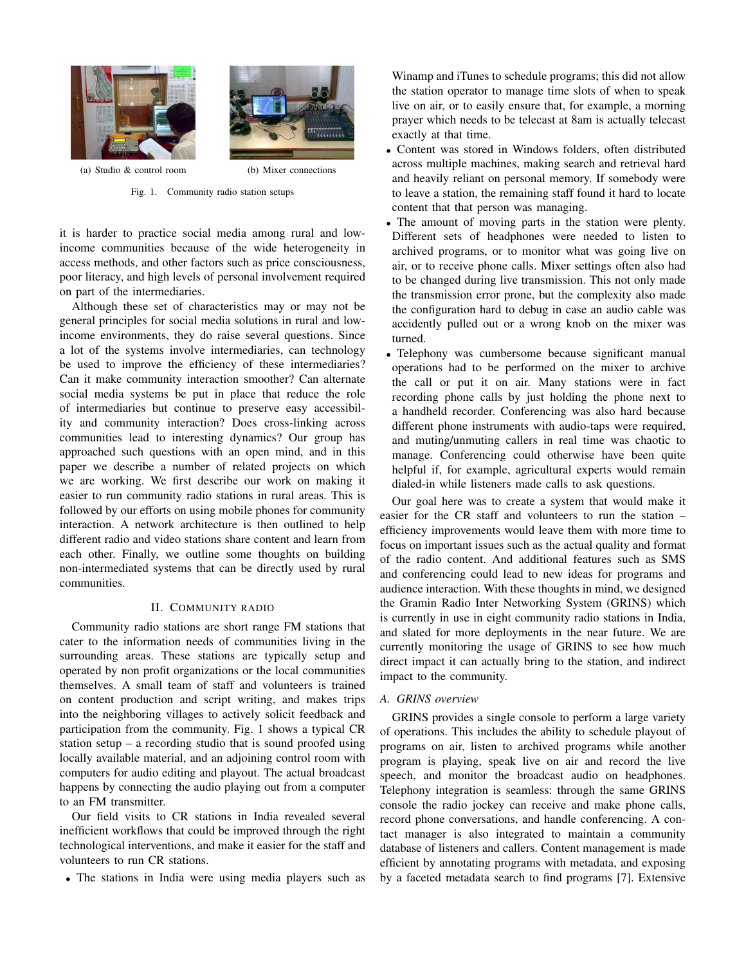



(a) Studio & control room (b) Mixer connections

Fig. 1. Community radio station setups

it is harder to practice social media among rural and lowincome communities because of the wide heterogeneity in access methods, and other factors such as price consciousness, poor literacy, and high levels of personal involvement required on part of the intermediaries.

Although these set of characteristics may or may not be general principles for social media solutions in rural and lowincome environments, they do raise several questions. Since a lot of the systems involve intermediaries, can technology be used to improve the efficiency of these intermediaries? Can it make community interaction smoother? Can alternate social media systems be put in place that reduce the role of intermediaries but continue to preserve easy accessibility and community interaction? Does cross-linking across communities lead to interesting dynamics? Our group has approached such questions with an open mind, and in this paper we describe a number of related projects on which we are working. We first describe our work on making it easier to run community radio stations in rural areas. This is followed by our efforts on using mobile phones for community interaction. A network architecture is then outlined to help different radio and video stations share content and learn from each other. Finally, we outline some thoughts on building non-intermediated systems that can be directly used by rural communities.

# II. COMMUNITY RADIO

Community radio stations are short range FM stations that cater to the information needs of communities living in the surrounding areas. These stations are typically setup and operated by non profit organizations or the local communities themselves. A small team of staff and volunteers is trained on content production and script writing, and makes trips into the neighboring villages to actively solicit feedback and participation from the community. Fig. 1 shows a typical CR station setup – a recording studio that is sound proofed using locally available material, and an adjoining control room with computers for audio editing and playout. The actual broadcast happens by connecting the audio playing out from a computer to an FM transmitter.

Our field visits to CR stations in India revealed several inefficient workflows that could be improved through the right technological interventions, and make it easier for the staff and volunteers to run CR stations.

• The stations in India were using media players such as

Winamp and iTunes to schedule programs; this did not allow the station operator to manage time slots of when to speak live on air, or to easily ensure that, for example, a morning prayer which needs to be telecast at 8am is actually telecast exactly at that time.

- Content was stored in Windows folders, often distributed across multiple machines, making search and retrieval hard and heavily reliant on personal memory. If somebody were to leave a station, the remaining staff found it hard to locate content that that person was managing.
- The amount of moving parts in the station were plenty. Different sets of headphones were needed to listen to archived programs, or to monitor what was going live on air, or to receive phone calls. Mixer settings often also had to be changed during live transmission. This not only made the transmission error prone, but the complexity also made the configuration hard to debug in case an audio cable was accidently pulled out or a wrong knob on the mixer was turned.
- Telephony was cumbersome because significant manual operations had to be performed on the mixer to archive the call or put it on air. Many stations were in fact recording phone calls by just holding the phone next to a handheld recorder. Conferencing was also hard because different phone instruments with audio-taps were required, and muting/unmuting callers in real time was chaotic to manage. Conferencing could otherwise have been quite helpful if, for example, agricultural experts would remain dialed-in while listeners made calls to ask questions.

Our goal here was to create a system that would make it easier for the CR staff and volunteers to run the station – efficiency improvements would leave them with more time to focus on important issues such as the actual quality and format of the radio content. And additional features such as SMS and conferencing could lead to new ideas for programs and audience interaction. With these thoughts in mind, we designed the Gramin Radio Inter Networking System (GRINS) which is currently in use in eight community radio stations in India, and slated for more deployments in the near future. We are currently monitoring the usage of GRINS to see how much direct impact it can actually bring to the station, and indirect impact to the community.

# *A. GRINS overview*

GRINS provides a single console to perform a large variety of operations. This includes the ability to schedule playout of programs on air, listen to archived programs while another program is playing, speak live on air and record the live speech, and monitor the broadcast audio on headphones. Telephony integration is seamless: through the same GRINS console the radio jockey can receive and make phone calls, record phone conversations, and handle conferencing. A contact manager is also integrated to maintain a community database of listeners and callers. Content management is made efficient by annotating programs with metadata, and exposing by a faceted metadata search to find programs [7]. Extensive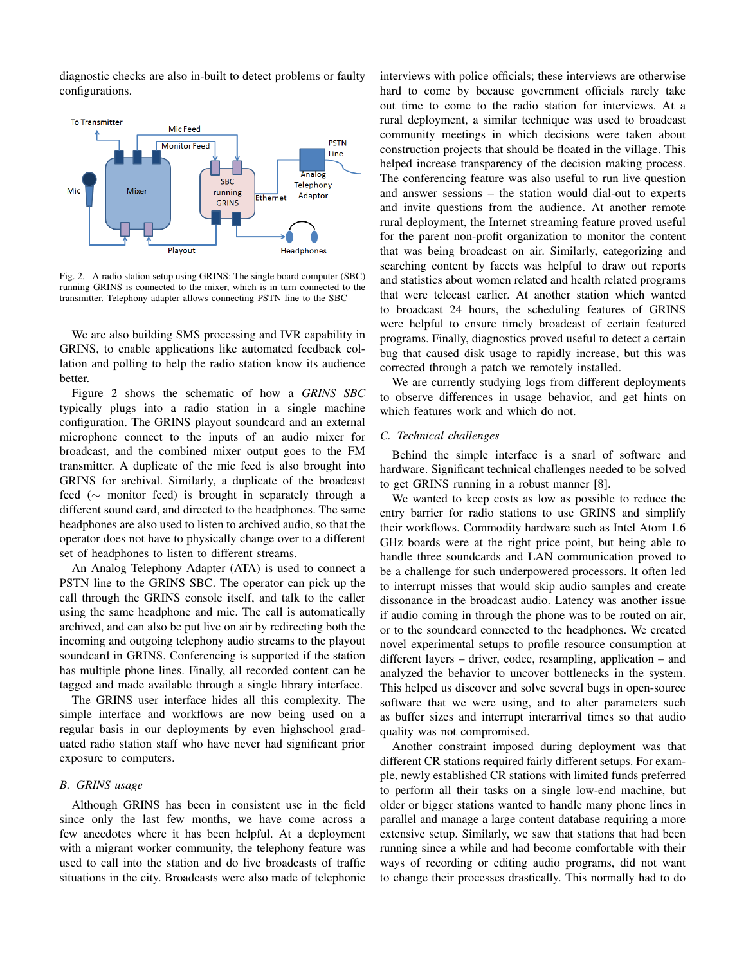diagnostic checks are also in-built to detect problems or faulty configurations.



Fig. 2. A radio station setup using GRINS: The single board computer (SBC) running GRINS is connected to the mixer, which is in turn connected to the transmitter. Telephony adapter allows connecting PSTN line to the SBC

We are also building SMS processing and IVR capability in GRINS, to enable applications like automated feedback collation and polling to help the radio station know its audience better.

Figure 2 shows the schematic of how a *GRINS SBC* typically plugs into a radio station in a single machine configuration. The GRINS playout soundcard and an external microphone connect to the inputs of an audio mixer for broadcast, and the combined mixer output goes to the FM transmitter. A duplicate of the mic feed is also brought into GRINS for archival. Similarly, a duplicate of the broadcast feed (∼ monitor feed) is brought in separately through a different sound card, and directed to the headphones. The same headphones are also used to listen to archived audio, so that the operator does not have to physically change over to a different set of headphones to listen to different streams.

An Analog Telephony Adapter (ATA) is used to connect a PSTN line to the GRINS SBC. The operator can pick up the call through the GRINS console itself, and talk to the caller using the same headphone and mic. The call is automatically archived, and can also be put live on air by redirecting both the incoming and outgoing telephony audio streams to the playout soundcard in GRINS. Conferencing is supported if the station has multiple phone lines. Finally, all recorded content can be tagged and made available through a single library interface.

The GRINS user interface hides all this complexity. The simple interface and workflows are now being used on a regular basis in our deployments by even highschool graduated radio station staff who have never had significant prior exposure to computers.

# *B. GRINS usage*

Although GRINS has been in consistent use in the field since only the last few months, we have come across a few anecdotes where it has been helpful. At a deployment with a migrant worker community, the telephony feature was used to call into the station and do live broadcasts of traffic situations in the city. Broadcasts were also made of telephonic interviews with police officials; these interviews are otherwise hard to come by because government officials rarely take out time to come to the radio station for interviews. At a rural deployment, a similar technique was used to broadcast community meetings in which decisions were taken about construction projects that should be floated in the village. This helped increase transparency of the decision making process. The conferencing feature was also useful to run live question and answer sessions – the station would dial-out to experts and invite questions from the audience. At another remote rural deployment, the Internet streaming feature proved useful for the parent non-profit organization to monitor the content that was being broadcast on air. Similarly, categorizing and searching content by facets was helpful to draw out reports and statistics about women related and health related programs that were telecast earlier. At another station which wanted to broadcast 24 hours, the scheduling features of GRINS were helpful to ensure timely broadcast of certain featured programs. Finally, diagnostics proved useful to detect a certain bug that caused disk usage to rapidly increase, but this was corrected through a patch we remotely installed.

We are currently studying logs from different deployments to observe differences in usage behavior, and get hints on which features work and which do not.

#### *C. Technical challenges*

Behind the simple interface is a snarl of software and hardware. Significant technical challenges needed to be solved to get GRINS running in a robust manner [8].

We wanted to keep costs as low as possible to reduce the entry barrier for radio stations to use GRINS and simplify their workflows. Commodity hardware such as Intel Atom 1.6 GHz boards were at the right price point, but being able to handle three soundcards and LAN communication proved to be a challenge for such underpowered processors. It often led to interrupt misses that would skip audio samples and create dissonance in the broadcast audio. Latency was another issue if audio coming in through the phone was to be routed on air, or to the soundcard connected to the headphones. We created novel experimental setups to profile resource consumption at different layers – driver, codec, resampling, application – and analyzed the behavior to uncover bottlenecks in the system. This helped us discover and solve several bugs in open-source software that we were using, and to alter parameters such as buffer sizes and interrupt interarrival times so that audio quality was not compromised.

Another constraint imposed during deployment was that different CR stations required fairly different setups. For example, newly established CR stations with limited funds preferred to perform all their tasks on a single low-end machine, but older or bigger stations wanted to handle many phone lines in parallel and manage a large content database requiring a more extensive setup. Similarly, we saw that stations that had been running since a while and had become comfortable with their ways of recording or editing audio programs, did not want to change their processes drastically. This normally had to do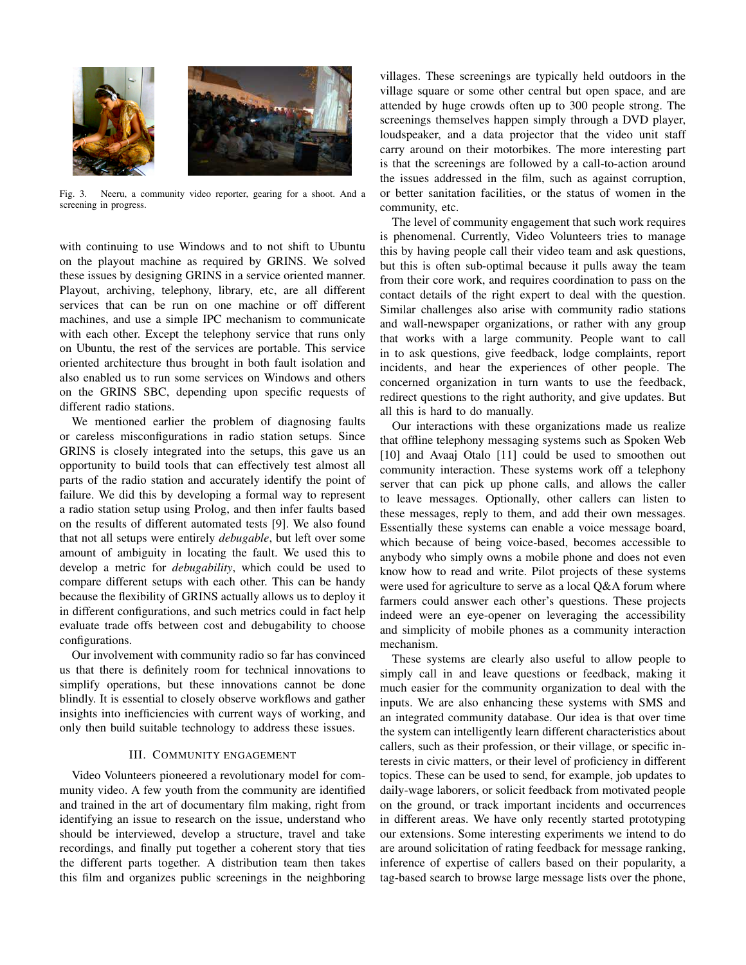

Fig. 3. Neeru, a community video reporter, gearing for a shoot. And a screening in progress.

with continuing to use Windows and to not shift to Ubuntu on the playout machine as required by GRINS. We solved these issues by designing GRINS in a service oriented manner. Playout, archiving, telephony, library, etc, are all different services that can be run on one machine or off different machines, and use a simple IPC mechanism to communicate with each other. Except the telephony service that runs only on Ubuntu, the rest of the services are portable. This service oriented architecture thus brought in both fault isolation and also enabled us to run some services on Windows and others on the GRINS SBC, depending upon specific requests of different radio stations.

We mentioned earlier the problem of diagnosing faults or careless misconfigurations in radio station setups. Since GRINS is closely integrated into the setups, this gave us an opportunity to build tools that can effectively test almost all parts of the radio station and accurately identify the point of failure. We did this by developing a formal way to represent a radio station setup using Prolog, and then infer faults based on the results of different automated tests [9]. We also found that not all setups were entirely *debugable*, but left over some amount of ambiguity in locating the fault. We used this to develop a metric for *debugability*, which could be used to compare different setups with each other. This can be handy because the flexibility of GRINS actually allows us to deploy it in different configurations, and such metrics could in fact help evaluate trade offs between cost and debugability to choose configurations.

Our involvement with community radio so far has convinced us that there is definitely room for technical innovations to simplify operations, but these innovations cannot be done blindly. It is essential to closely observe workflows and gather insights into inefficiencies with current ways of working, and only then build suitable technology to address these issues.

#### III. COMMUNITY ENGAGEMENT

Video Volunteers pioneered a revolutionary model for community video. A few youth from the community are identified and trained in the art of documentary film making, right from identifying an issue to research on the issue, understand who should be interviewed, develop a structure, travel and take recordings, and finally put together a coherent story that ties the different parts together. A distribution team then takes this film and organizes public screenings in the neighboring

villages. These screenings are typically held outdoors in the village square or some other central but open space, and are attended by huge crowds often up to 300 people strong. The screenings themselves happen simply through a DVD player, loudspeaker, and a data projector that the video unit staff carry around on their motorbikes. The more interesting part is that the screenings are followed by a call-to-action around the issues addressed in the film, such as against corruption, or better sanitation facilities, or the status of women in the community, etc.

The level of community engagement that such work requires is phenomenal. Currently, Video Volunteers tries to manage this by having people call their video team and ask questions, but this is often sub-optimal because it pulls away the team from their core work, and requires coordination to pass on the contact details of the right expert to deal with the question. Similar challenges also arise with community radio stations and wall-newspaper organizations, or rather with any group that works with a large community. People want to call in to ask questions, give feedback, lodge complaints, report incidents, and hear the experiences of other people. The concerned organization in turn wants to use the feedback, redirect questions to the right authority, and give updates. But all this is hard to do manually.

Our interactions with these organizations made us realize that offline telephony messaging systems such as Spoken Web [10] and Avaaj Otalo [11] could be used to smoothen out community interaction. These systems work off a telephony server that can pick up phone calls, and allows the caller to leave messages. Optionally, other callers can listen to these messages, reply to them, and add their own messages. Essentially these systems can enable a voice message board, which because of being voice-based, becomes accessible to anybody who simply owns a mobile phone and does not even know how to read and write. Pilot projects of these systems were used for agriculture to serve as a local Q&A forum where farmers could answer each other's questions. These projects indeed were an eye-opener on leveraging the accessibility and simplicity of mobile phones as a community interaction mechanism.

These systems are clearly also useful to allow people to simply call in and leave questions or feedback, making it much easier for the community organization to deal with the inputs. We are also enhancing these systems with SMS and an integrated community database. Our idea is that over time the system can intelligently learn different characteristics about callers, such as their profession, or their village, or specific interests in civic matters, or their level of proficiency in different topics. These can be used to send, for example, job updates to daily-wage laborers, or solicit feedback from motivated people on the ground, or track important incidents and occurrences in different areas. We have only recently started prototyping our extensions. Some interesting experiments we intend to do are around solicitation of rating feedback for message ranking, inference of expertise of callers based on their popularity, a tag-based search to browse large message lists over the phone,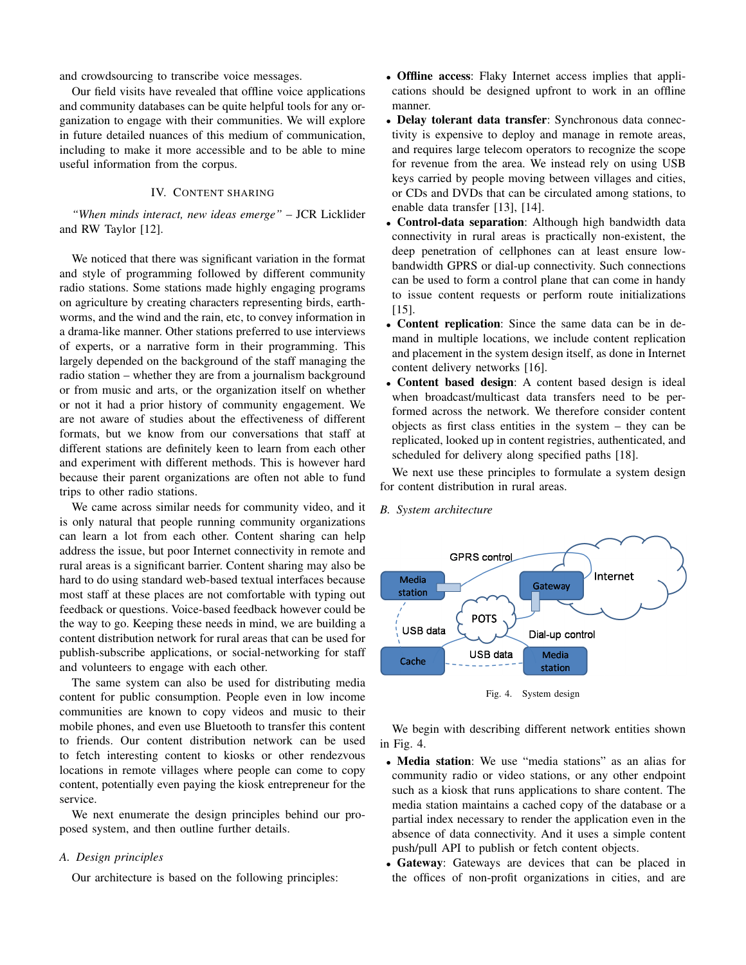and crowdsourcing to transcribe voice messages.

Our field visits have revealed that offline voice applications and community databases can be quite helpful tools for any organization to engage with their communities. We will explore in future detailed nuances of this medium of communication, including to make it more accessible and to be able to mine useful information from the corpus.

# IV. CONTENT SHARING

*"When minds interact, new ideas emerge"* – JCR Licklider and RW Taylor [12].

We noticed that there was significant variation in the format and style of programming followed by different community radio stations. Some stations made highly engaging programs on agriculture by creating characters representing birds, earthworms, and the wind and the rain, etc, to convey information in a drama-like manner. Other stations preferred to use interviews of experts, or a narrative form in their programming. This largely depended on the background of the staff managing the radio station – whether they are from a journalism background or from music and arts, or the organization itself on whether or not it had a prior history of community engagement. We are not aware of studies about the effectiveness of different formats, but we know from our conversations that staff at different stations are definitely keen to learn from each other and experiment with different methods. This is however hard because their parent organizations are often not able to fund trips to other radio stations.

We came across similar needs for community video, and it is only natural that people running community organizations can learn a lot from each other. Content sharing can help address the issue, but poor Internet connectivity in remote and rural areas is a significant barrier. Content sharing may also be hard to do using standard web-based textual interfaces because most staff at these places are not comfortable with typing out feedback or questions. Voice-based feedback however could be the way to go. Keeping these needs in mind, we are building a content distribution network for rural areas that can be used for publish-subscribe applications, or social-networking for staff and volunteers to engage with each other.

The same system can also be used for distributing media content for public consumption. People even in low income communities are known to copy videos and music to their mobile phones, and even use Bluetooth to transfer this content to friends. Our content distribution network can be used to fetch interesting content to kiosks or other rendezvous locations in remote villages where people can come to copy content, potentially even paying the kiosk entrepreneur for the service.

We next enumerate the design principles behind our proposed system, and then outline further details.

#### *A. Design principles*

Our architecture is based on the following principles:

- **Offline access**: Flaky Internet access implies that applications should be designed upfront to work in an offline manner.
- Delay tolerant data transfer: Synchronous data connectivity is expensive to deploy and manage in remote areas, and requires large telecom operators to recognize the scope for revenue from the area. We instead rely on using USB keys carried by people moving between villages and cities, or CDs and DVDs that can be circulated among stations, to enable data transfer [13], [14].
- Control-data separation: Although high bandwidth data connectivity in rural areas is practically non-existent, the deep penetration of cellphones can at least ensure lowbandwidth GPRS or dial-up connectivity. Such connections can be used to form a control plane that can come in handy to issue content requests or perform route initializations [15].
- Content replication: Since the same data can be in demand in multiple locations, we include content replication and placement in the system design itself, as done in Internet content delivery networks [16].
- Content based design: A content based design is ideal when broadcast/multicast data transfers need to be performed across the network. We therefore consider content objects as first class entities in the system – they can be replicated, looked up in content registries, authenticated, and scheduled for delivery along specified paths [18].

We next use these principles to formulate a system design for content distribution in rural areas.

*B. System architecture*



Fig. 4. System design

We begin with describing different network entities shown in Fig. 4.

- Media station: We use "media stations" as an alias for community radio or video stations, or any other endpoint such as a kiosk that runs applications to share content. The media station maintains a cached copy of the database or a partial index necessary to render the application even in the absence of data connectivity. And it uses a simple content push/pull API to publish or fetch content objects.
- Gateway: Gateways are devices that can be placed in the offices of non-profit organizations in cities, and are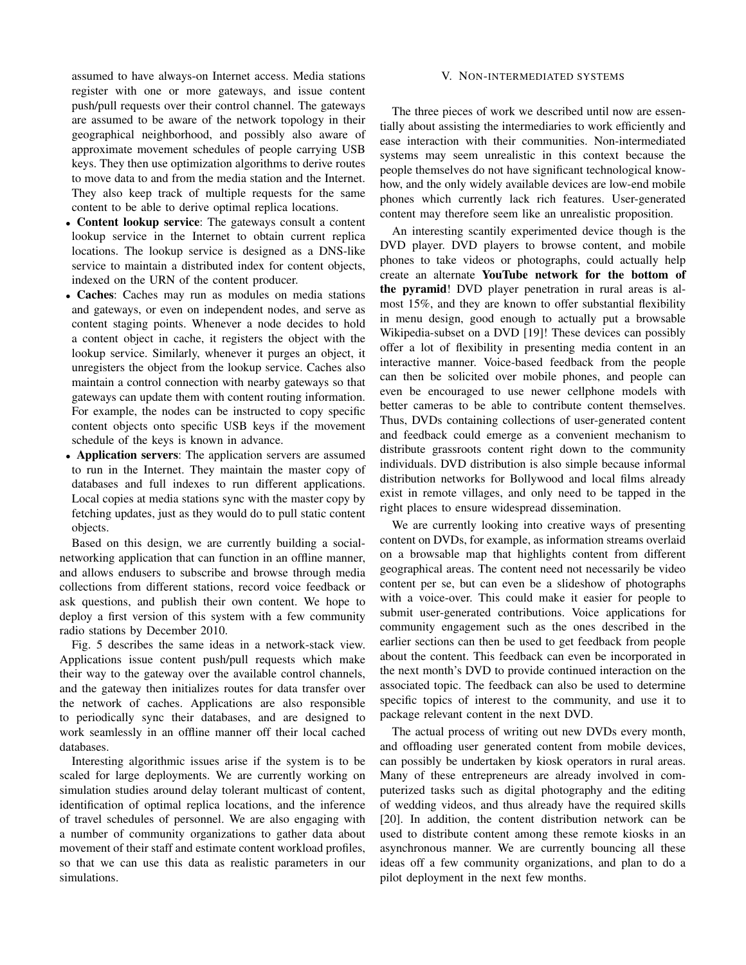assumed to have always-on Internet access. Media stations register with one or more gateways, and issue content push/pull requests over their control channel. The gateways are assumed to be aware of the network topology in their geographical neighborhood, and possibly also aware of approximate movement schedules of people carrying USB keys. They then use optimization algorithms to derive routes to move data to and from the media station and the Internet. They also keep track of multiple requests for the same content to be able to derive optimal replica locations.

- Content lookup service: The gateways consult a content lookup service in the Internet to obtain current replica locations. The lookup service is designed as a DNS-like service to maintain a distributed index for content objects, indexed on the URN of the content producer.
- Caches: Caches may run as modules on media stations and gateways, or even on independent nodes, and serve as content staging points. Whenever a node decides to hold a content object in cache, it registers the object with the lookup service. Similarly, whenever it purges an object, it unregisters the object from the lookup service. Caches also maintain a control connection with nearby gateways so that gateways can update them with content routing information. For example, the nodes can be instructed to copy specific content objects onto specific USB keys if the movement schedule of the keys is known in advance.
- Application servers: The application servers are assumed to run in the Internet. They maintain the master copy of databases and full indexes to run different applications. Local copies at media stations sync with the master copy by fetching updates, just as they would do to pull static content objects.

Based on this design, we are currently building a socialnetworking application that can function in an offline manner, and allows endusers to subscribe and browse through media collections from different stations, record voice feedback or ask questions, and publish their own content. We hope to deploy a first version of this system with a few community radio stations by December 2010.

Fig. 5 describes the same ideas in a network-stack view. Applications issue content push/pull requests which make their way to the gateway over the available control channels, and the gateway then initializes routes for data transfer over the network of caches. Applications are also responsible to periodically sync their databases, and are designed to work seamlessly in an offline manner off their local cached databases.

Interesting algorithmic issues arise if the system is to be scaled for large deployments. We are currently working on simulation studies around delay tolerant multicast of content, identification of optimal replica locations, and the inference of travel schedules of personnel. We are also engaging with a number of community organizations to gather data about movement of their staff and estimate content workload profiles, so that we can use this data as realistic parameters in our simulations.

#### V. NON-INTERMEDIATED SYSTEMS

The three pieces of work we described until now are essentially about assisting the intermediaries to work efficiently and ease interaction with their communities. Non-intermediated systems may seem unrealistic in this context because the people themselves do not have significant technological knowhow, and the only widely available devices are low-end mobile phones which currently lack rich features. User-generated content may therefore seem like an unrealistic proposition.

An interesting scantily experimented device though is the DVD player. DVD players to browse content, and mobile phones to take videos or photographs, could actually help create an alternate YouTube network for the bottom of the pyramid! DVD player penetration in rural areas is almost 15%, and they are known to offer substantial flexibility in menu design, good enough to actually put a browsable Wikipedia-subset on a DVD [19]! These devices can possibly offer a lot of flexibility in presenting media content in an interactive manner. Voice-based feedback from the people can then be solicited over mobile phones, and people can even be encouraged to use newer cellphone models with better cameras to be able to contribute content themselves. Thus, DVDs containing collections of user-generated content and feedback could emerge as a convenient mechanism to distribute grassroots content right down to the community individuals. DVD distribution is also simple because informal distribution networks for Bollywood and local films already exist in remote villages, and only need to be tapped in the right places to ensure widespread dissemination.

We are currently looking into creative ways of presenting content on DVDs, for example, as information streams overlaid on a browsable map that highlights content from different geographical areas. The content need not necessarily be video content per se, but can even be a slideshow of photographs with a voice-over. This could make it easier for people to submit user-generated contributions. Voice applications for community engagement such as the ones described in the earlier sections can then be used to get feedback from people about the content. This feedback can even be incorporated in the next month's DVD to provide continued interaction on the associated topic. The feedback can also be used to determine specific topics of interest to the community, and use it to package relevant content in the next DVD.

The actual process of writing out new DVDs every month, and offloading user generated content from mobile devices, can possibly be undertaken by kiosk operators in rural areas. Many of these entrepreneurs are already involved in computerized tasks such as digital photography and the editing of wedding videos, and thus already have the required skills [20]. In addition, the content distribution network can be used to distribute content among these remote kiosks in an asynchronous manner. We are currently bouncing all these ideas off a few community organizations, and plan to do a pilot deployment in the next few months.